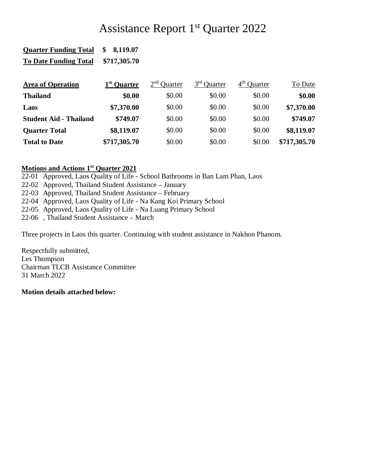# Assistance Report 1<sup>st</sup> Quarter 2022

| <b>Quarter Funding Total</b>  | 8,119.07<br>\$          |                            |               |                         |              |
|-------------------------------|-------------------------|----------------------------|---------------|-------------------------|--------------|
| <b>To Date Funding Total</b>  | \$717,305.70            |                            |               |                         |              |
| <b>Area of Operation</b>      | 1 <sup>st</sup> Quarter | 2 <sup>nd</sup><br>Quarter | $3rd$ Quarter | 4 <sup>th</sup> Quarter | To Date      |
| <b>Thailand</b>               | \$0.00                  | \$0.00                     | \$0.00        | \$0.00                  | \$0.00       |
| Laos                          | \$7,370.00              | \$0.00                     | \$0.00        | \$0.00                  | \$7,370.00   |
| <b>Student Aid - Thailand</b> | \$749.07                | \$0.00                     | \$0.00        | \$0.00                  | \$749.07     |
| <b>Quarter Total</b>          | \$8,119.07              | \$0.00                     | \$0.00        | \$0.00                  | \$8,119.07   |
| <b>Total to Date</b>          | \$717,305.70            | \$0.00                     | \$0.00        | \$0.00                  | \$717,305.70 |
|                               |                         |                            |               |                         |              |

## **Motions and Actions 1st Quarter 2021**

22-01 Approved, Laos Quality of Life - School Bathrooms in Ban Lam Phan, Laos

- 22-02 Approved, Thailand Student Assistance January
- 22-03 Approved, Thailand Student Assistance February
- 22-04 Approved, Laos Quality of Life Na Kang Koi Primary School
- 22-05 Approved, Laos Quality of Life Na Luang Primary School
- 22-06 , Thailand Student Assistance March

Three projects in Laos this quarter. Continuing with student assistance in Nakhon Phanom.

Respectfully submitted, Les Thompson Chairman TLCB Assistance Committee 31 March 2022

### **Motion details attached below:**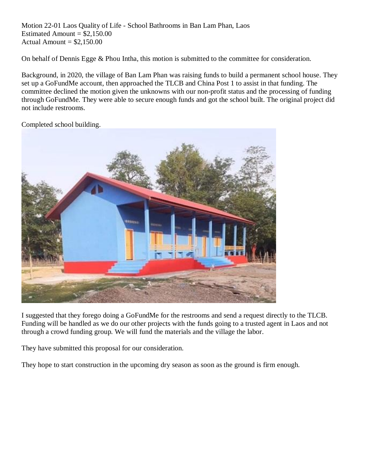Motion 22-01 Laos Quality of Life - School Bathrooms in Ban Lam Phan, Laos Estimated Amount  $= $2,150.00$ Actual Amount  $=$  \$2,150.00

On behalf of Dennis Egge & Phou Intha, this motion is submitted to the committee for consideration.

Background, in 2020, the village of Ban Lam Phan was raising funds to build a permanent school house. They set up a GoFundMe account, then approached the TLCB and China Post 1 to assist in that funding. The committee declined the motion given the unknowns with our non-profit status and the processing of funding through GoFundMe. They were able to secure enough funds and got the school built. The original project did not include restrooms.

Completed school building.



I suggested that they forego doing a GoFundMe for the restrooms and send a request directly to the TLCB. Funding will be handled as we do our other projects with the funds going to a trusted agent in Laos and not through a crowd funding group. We will fund the materials and the village the labor.

They have submitted this proposal for our consideration.

They hope to start construction in the upcoming dry season as soon as the ground is firm enough.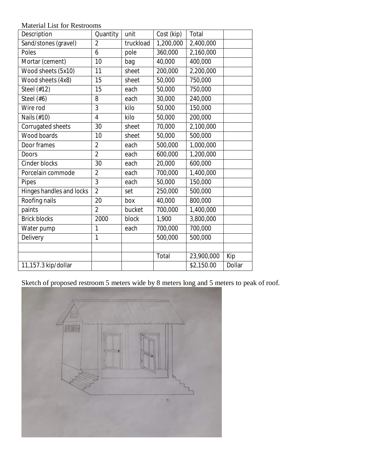## Material List for Restrooms

| Description              | Quantity       | unit      | Cost (kip) | Total                  |        |
|--------------------------|----------------|-----------|------------|------------------------|--------|
| Sand/stones (gravel)     | $\overline{2}$ | truckload | 1,200,000  | 2,400,000              |        |
| Poles                    | 6              | pole      | 360,000    | 2,160,000              |        |
| Mortar (cement)          | 10             | bag       | 40,000     | 400,000                |        |
| Wood sheets (5x10)       | 11             | sheet     | 200,000    | 2,200,000              |        |
| Wood sheets (4x8)        | 15             | sheet     | 50,000     | 750,000                |        |
| Steel (#12)              | 15             | each      | 50,000     | 750,000                |        |
| Steel $(#6)$             | 8              | each      | 30,000     | 240,000                |        |
| Wire rod                 | 3              | kilo      | 50,000     | 150,000                |        |
| Nails (#10)              | 4              | kilo      | 50,000     | 200,000                |        |
| Corrugated sheets        | 30             | sheet     | 70,000     | 2,100,000              |        |
| Wood boards              | 10             | sheet     | 50,000     | 500,000                |        |
| Door frames              | $\overline{2}$ | each      | 500,000    | $\overline{1,000,000}$ |        |
| <b>Doors</b>             | $\overline{2}$ | each      | 600,000    | 1,200,000              |        |
| Cinder blocks            | 30             | each      | 20,000     | 600,000                |        |
| Porcelain commode        | $\overline{2}$ | each      | 700,000    | 1,400,000              |        |
| Pipes                    | 3              | each      | 50,000     | 150,000                |        |
| Hinges handles and locks | $\overline{2}$ | set       | 250,000    | 500,000                |        |
| Roofing nails            | 20             | box       | 40,000     | 800,000                |        |
| paints                   | $\overline{2}$ | bucket    | 700,000    | 1,400,000              |        |
| <b>Brick blocks</b>      | 2000           | block     | 1,900      | 3,800,000              |        |
| Water pump               | 1              | each      | 700,000    | 700,000                |        |
| Delivery                 | 1              |           | 500,000    | 500,000                |        |
|                          |                |           |            |                        |        |
|                          |                |           | Total      | 23,900,000             | Kip    |
| 11,157.3 kip/dollar      |                |           |            | \$2,150.00             | Dollar |

Sketch of proposed restroom 5 meters wide by 8 meters long and 5 meters to peak of roof.

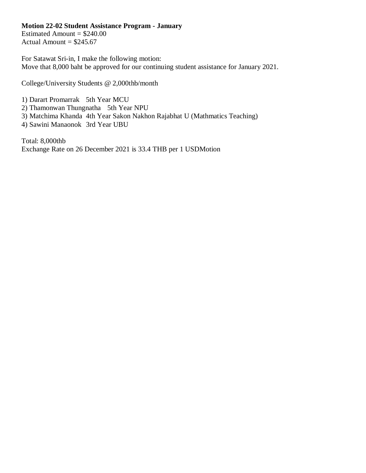## **Motion 22-02 Student Assistance Program - January**

Estimated Amount  $= $240.00$ Actual Amount  $=$  \$245.67

For Satawat Sri-in, I make the following motion: Move that 8,000 baht be approved for our continuing student assistance for January 2021.

College/University Students @ 2,000thb/month

1) Darart Promarrak 5th Year MCU

2) Thamonwan Thungnatha 5th Year NPU

3) Matchima Khanda 4th Year Sakon Nakhon Rajabhat U (Mathmatics Teaching)

4) Sawini Manaonok 3rd Year UBU

Total: 8,000thb Exchange Rate on 26 December 2021 is 33.4 THB per 1 USDMotion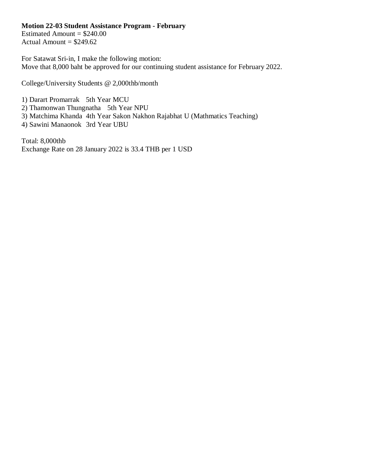## **Motion 22-03 Student Assistance Program - February**

Estimated Amount  $= $240.00$ Actual Amount  $=$  \$249.62

For Satawat Sri-in, I make the following motion: Move that 8,000 baht be approved for our continuing student assistance for February 2022.

College/University Students @ 2,000thb/month

1) Darart Promarrak 5th Year MCU

2) Thamonwan Thungnatha 5th Year NPU

3) Matchima Khanda 4th Year Sakon Nakhon Rajabhat U (Mathmatics Teaching)

4) Sawini Manaonok 3rd Year UBU

Total: 8,000thb Exchange Rate on 28 January 2022 is 33.4 THB per 1 USD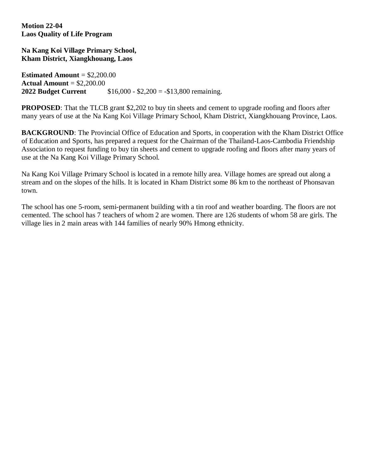**Motion 22-04 Laos Quality of Life Program**

**Na Kang Koi Village Primary School, Kham District, Xiangkhouang, Laos**

**Estimated Amount** = \$2,200.00 **Actual Amount** = \$2,200.00 **2022 Budget Current** \$16,000 - \$2,200 = -\$13,800 remaining.

**PROPOSED**: That the TLCB grant \$2,202 to buy tin sheets and cement to upgrade roofing and floors after many years of use at the Na Kang Koi Village Primary School, Kham District, Xiangkhouang Province, Laos.

**BACKGROUND**: The Provincial Office of Education and Sports, in cooperation with the Kham District Office of Education and Sports, has prepared a request for the Chairman of the Thailand-Laos-Cambodia Friendship Association to request funding to buy tin sheets and cement to upgrade roofing and floors after many years of use at the Na Kang Koi Village Primary School.

Na Kang Koi Village Primary School is located in a remote hilly area. Village homes are spread out along a stream and on the slopes of the hills. It is located in Kham District some 86 km to the northeast of Phonsavan town.

The school has one 5-room, semi-permanent building with a tin roof and weather boarding. The floors are not cemented. The school has 7 teachers of whom 2 are women. There are 126 students of whom 58 are girls. The village lies in 2 main areas with 144 families of nearly 90% Hmong ethnicity.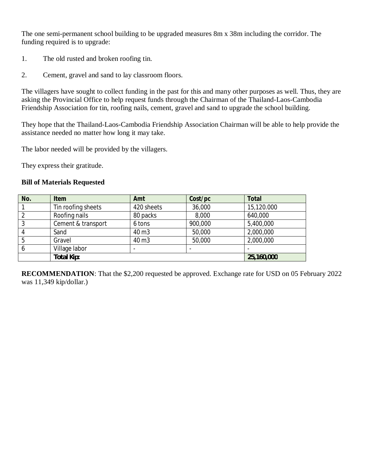The one semi-permanent school building to be upgraded measures 8m x 38m including the corridor. The funding required is to upgrade:

- 1. The old rusted and broken roofing tin.
- 2. Cement, gravel and sand to lay classroom floors.

The villagers have sought to collect funding in the past for this and many other purposes as well. Thus, they are asking the Provincial Office to help request funds through the Chairman of the Thailand-Laos-Cambodia Friendship Association for tin, roofing nails, cement, gravel and sand to upgrade the school building.

They hope that the Thailand-Laos-Cambodia Friendship Association Chairman will be able to help provide the assistance needed no matter how long it may take.

The labor needed will be provided by the villagers.

They express their gratitude.

#### **Bill of Materials Requested**

| No. | <b>Item</b>        | Amt        | Cost/pc | Total      |
|-----|--------------------|------------|---------|------------|
|     | Tin roofing sheets | 420 sheets | 36,000  | 15,120.000 |
|     | Roofing nails      | 80 packs   | 8,000   | 640,000    |
|     | Cement & transport | 6 tons     | 900,000 | 5,400,000  |
|     | Sand               | 40 m3      | 50,000  | 2,000,000  |
|     | Gravel             | 40 m3      | 50,000  | 2,000,000  |
| b   | Village labor      |            |         |            |
|     | Total Kip:         |            |         | 25,160,000 |

**RECOMMENDATION**: That the \$2,200 requested be approved. Exchange rate for USD on 05 February 2022 was 11,349 kip/dollar.)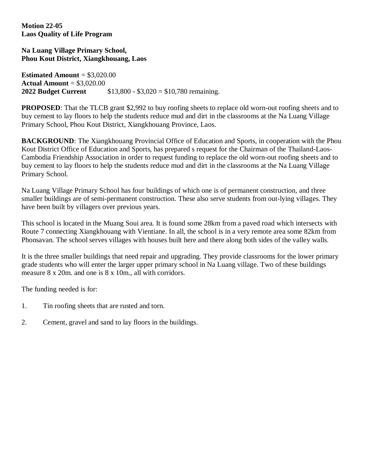**Motion 22-05 Laos Quality of Life Program**

**Na Luang Village Primary School, Phou Kout District, Xiangkhouang, Laos**

**Estimated Amount** = \$3,020.00 **Actual Amount** = \$3,020.00 **2022 Budget Current** \$13,800 - \$3,020 = \$10,780 remaining.

**PROPOSED**: That the TLCB grant \$2,992 to buy roofing sheets to replace old worn-out roofing sheets and to buy cement to lay floors to help the students reduce mud and dirt in the classrooms at the Na Luang Village Primary School, Phou Kout District, Xiangkhouang Province, Laos.

**BACKGROUND:** The Xiangkhouang Provincial Office of Education and Sports, in cooperation with the Phou Kout District Office of Education and Sports, has prepared s request for the Chairman of the Thailand-Laos-Cambodia Friendship Association in order to request funding to replace the old worn-out roofing sheets and to buy cement to lay floors to help the students reduce mud and dirt in the classrooms at the Na Luang Village Primary School.

Na Luang Village Primary School has four buildings of which one is of permanent construction, and three smaller buildings are of semi-permanent construction. These also serve students from out-lying villages. They have been built by villagers over previous years.

This school is located in the Muang Soui area. It is found some 28km from a paved road which intersects with Route 7 connecting Xiangkhouang with Vientiane. In all, the school is in a very remote area some 82km from Phonsavan. The school serves villages with houses built here and there along both sides of the valley walls.

It is the three smaller buildings that need repair and upgrading. They provide classrooms for the lower primary grade students who will enter the larger upper primary school in Na Luang village. Two of these buildings measure 8 x 20m. and one is 8 x 10m., all with corridors.

The funding needed is for:

- 1. Tin roofing sheets that are rusted and torn.
- 2. Cement, gravel and sand to lay floors in the buildings.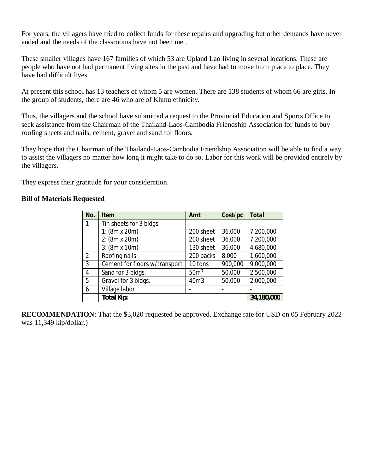For years, the villagers have tried to collect funds for these repairs and upgrading but other demands have never ended and the needs of the classrooms have not been met.

These smaller villages have 167 families of which 53 are Upland Lao living in several locations. These are people who have not had permanent living sites in the past and have had to move from place to place. They have had difficult lives.

At present this school has 13 teachers of whom 5 are women. There are 138 students of whom 66 are girls. In the group of students, there are 46 who are of Khmu ethnicity.

Thus, the villagers and the school have submitted a request to the Provincial Education and Sports Office to seek assistance from the Chairman of the Thailand-Laos-Cambodia Friendship Association for funds to buy roofing sheets and nails, cement, gravel and sand for floors.

They hope that the Chairman of the Thailand-Laos-Cambodia Friendship Association will be able to find a way to assist the villagers no matter how long it might take to do so. Labor for this work will be provided entirely by the villagers.

They express their gratitude for your consideration.

## **Bill of Materials Requested**

| No.            | <b>Item</b>                   | Amt              | Cost/pc | Total      |
|----------------|-------------------------------|------------------|---------|------------|
| 1              | Tin sheets for 3 bldgs.       |                  |         |            |
|                | $1: (8m \times 20m)$          | 200 sheet        | 36,000  | 7,200,000  |
|                | $2: (8m \times 20m)$          | 200 sheet        | 36,000  | 7,200,000  |
|                | $3: (8m \times 10m)$          | 130 sheet        | 36,000  | 4,680,000  |
| $\overline{2}$ | Roofing nails                 | 200 packs        | 8,000   | 1,600,000  |
| 3              | Cement for floors w/transport | 10 tons          | 900,000 | 9,000,000  |
| $\overline{4}$ | Sand for 3 bldgs.             | 50 <sup>m3</sup> | 50,000  | 2,500,000  |
| 5              | Gravel for 3 bldgs.           | 40m3             | 50,000  | 2,000,000  |
| 6              | Village labor                 |                  |         |            |
|                | Total Kip:                    |                  |         | 34,180,000 |

**RECOMMENDATION**: That the \$3,020 requested be approved. Exchange rate for USD on 05 February 2022 was 11,349 kip/dollar.)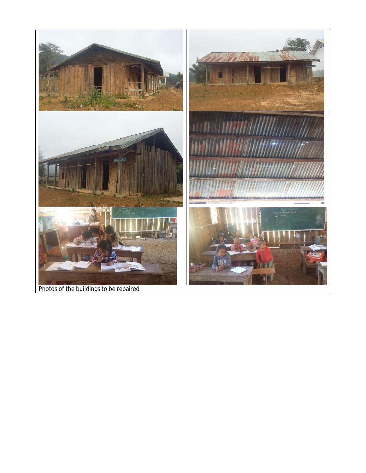